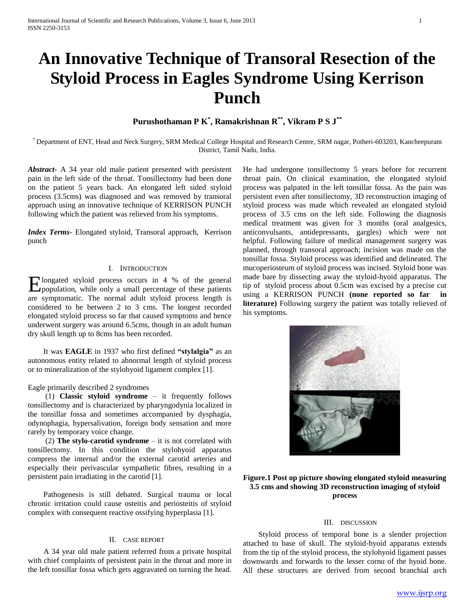# **An Innovative Technique of Transoral Resection of the Styloid Process in Eagles Syndrome Using Kerrison Punch**

## **Purushothaman P K\* , Ramakrishnan R\*\* , Vikram P S J\*\***

\* Department of ENT, Head and Neck Surgery, SRM Medical College Hospital and Research Centre, SRM nagar, Potheri-603203, Kancheepuram District, Tamil Nadu, India.

*Abstract***-** A 34 year old male patient presented with persistent pain in the left side of the throat. Tonsillectomy had been done on the patient 5 years back. An elongated left sided styloid process (3.5cms) was diagnosed and was removed by transoral approach using an innovative technique of KERRISON PUNCH following which the patient was relieved from his symptoms.

*Index Terms*- Elongated styloid, Transoral approach, Kerrison punch

### I. INTRODUCTION

longated styloid process occurs in 4 % of the general Elongated styloid process occurs in 4 % of the general population, while only a small percentage of these patients are symptomatic. The normal adult styloid process length is considered to be between 2 to 3 cms. The longest recorded elongated styloid process so far that caused symptoms and hence underwent surgery was around 6.5cms, though in an adult human dry skull length up to 8cms has been recorded.

 It was **EAGLE** in 1937 who first defined **"stylalgia"** as an autonomous entity related to abnormal length of styloid process or to mineralization of the stylohyoid ligament complex [1].

#### Eagle primarily described 2 syndromes

 (1) **Classic styloid syndrome** – it frequently follows tonsillectomy and is characterized by pharyngodynia localized in the tonsillar fossa and sometimes accompanied by dysphagia, odynophagia, hypersalivation, foreign body sensation and more rarely by temporary voice change.

 (2) **The stylo-carotid syndrome** – it is not correlated with tonsillectomy. In this condition the stylohyoid apparatus compress the internal and/or the external carotid arteries and especially their perivascular sympathetic fibres, resulting in a persistent pain irradiating in the carotid [1].

 Pathogenesis is still debated. Surgical trauma or local chronic irritation could cause osteitis and periosteitis of styloid complex with consequent reactive ossifying hyperplasia [1].

## II. CASE REPORT

 A 34 year old male patient referred from a private hospital with chief complaints of persistent pain in the throat and more in the left tonsillar fossa which gets aggravated on turning the head.

He had undergone tonsillectomy 5 years before for recurrent throat pain. On clinical examination, the elongated styloid process was palpated in the left tonsillar fossa. As the pain was persistent even after tonsillectomy, 3D reconstruction imaging of styloid process was made which revealed an elongated styloid process of 3.5 cms on the left side. Following the diagnosis medical treatment was given for 3 months (oral analgesics, anticonvulsants, antidepressants, gargles) which were not helpful. Following failure of medical management surgery was planned, through transoral approach; incision was made on the tonsillar fossa. Styloid process was identified and delineated. The mucoperiosteum of styloid process was incised. Styloid bone was made bare by dissecting away the styloid-hyoid apparatus. The tip of styloid process about 0.5cm was excised by a precise cut using a KERRISON PUNCH **(none reported so far in literature)** Following surgery the patient was totally relieved of his symptoms.



## **Figure.1 Post op picture showing elongated styloid measuring 3.5 cms and showing 3D reconstruction imaging of styloid process**

## III. DISCUSSION

 Styloid process of temporal bone is a slender projection attached to base of skull. The styloid-hyoid apparatus extends from the tip of the styloid process, the stylohyoid ligament passes downwards and forwards to the lesser cornu of the hyoid bone. All these structures are derived from second branchial arch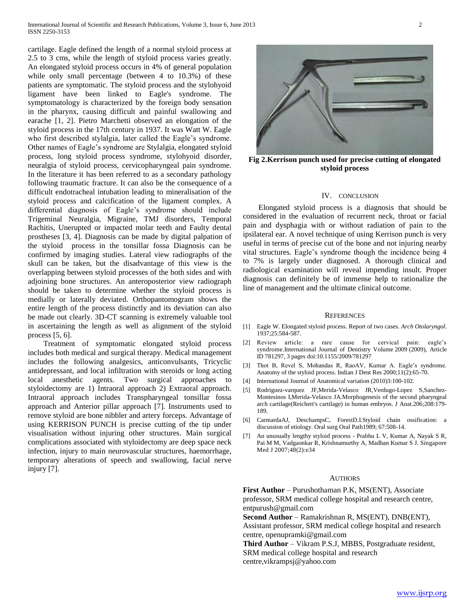cartilage. Eagle defined the length of a normal styloid process at 2.5 to 3 cms, while the length of styloid process varies greatly. An elongated styloid process occurs in 4% of general population while only small percentage (between 4 to 10.3%) of these patients are symptomatic. The styloid process and the stylohyoid ligament have been linked to Eagle's syndrome. The symptomatology is characterized by the foreign body sensation in the pharynx, causing difficult and painful swallowing and earache [1, 2]. Pietro Marchetti observed an elongation of the styloid process in the 17th century in 1937. It was Watt W. Eagle who first described stylalgia, later called the Eagle's syndrome. Other names of Eagle's syndrome are Stylalgia, elongated styloid process, long styloid process syndrome, stylohyoid disorder, neuralgia of styloid process, cervicopharyngeal pain syndrome. In the literature it has been referred to as a secondary pathology following traumatic fracture. It can also be the consequence of a difficult endotracheal intubation leading to mineralisation of the styloid process and calcification of the ligament complex. A differential diagnosis of Eagle's syndrome should include Trigeminal Neuralgia, Migraine, TMJ disorders, Temporal Rachitis, Unerupted or impacted molar teeth and Faulty dental prostheses [3, 4]. Diagnosis can be made by digital palpation of the styloid process in the tonsillar fossa Diagnosis can be confirmed by imaging studies. Lateral view radiographs of the skull can be taken, but the disadvantage of this view is the overlapping between styloid processes of the both sides and with adjoining bone structures. An anteroposterior view radiograph should be taken to determine whether the styloid process is medially or laterally deviated. Orthopantomogram shows the entire length of the process distinctly and its deviation can also be made out clearly. 3D-CT scanning is extremely valuable tool in ascertaining the length as well as alignment of the styloid process [5, 6].

 Treatment of symptomatic elongated styloid process includes both medical and surgical therapy. Medical management includes the following analgesics, anticonvulsants, Tricyclic antidepressant, and local infiltration with steroids or long acting local anesthetic agents. Two surgical approaches to styloidectomy are 1) Intraoral approach 2) Extraoral approach. Intraoral approach includes Transpharyngeal tonsillar fossa approach and Anterior pillar approach [7]. Instruments used to remove styloid are bone nibbler and artery forceps. Advantage of using KERRISON PUNCH is precise cutting of the tip under visualisation without injuring other structures. Main surgical complications associated with styloidectomy are deep space neck infection, injury to main neurovascular structures, haemorrhage, temporary alterations of speech and swallowing, facial nerve injury [7].





**Fig 2.Kerrison punch used for precise cutting of elongated styloid process**

#### IV. CONCLUSION

 Elongated styloid process is a diagnosis that should be considered in the evaluation of recurrent neck, throat or facial pain and dysphagia with or without radiation of pain to the ipsilateral ear. A novel technique of using Kerrison punch is very useful in terms of precise cut of the bone and not injuring nearby vital structures. Eagle's syndrome though the incidence being 4 to 7% is largely under diagnosed. A thorough clinical and radiological examination will reveal impending insult. Proper diagnosis can definitely be of immense help to rationalize the line of management and the ultimate clinical outcome.

#### **REFERENCES**

- [1] Eagle W. Elongated styloid process. Report of two cases. *Arch Otolaryngol*. 1937;25:584-587.
- [2] Review article: a rare cause for cervical pain: eagle's syndrome.International Journal of Dentistry Volume 2009 (2009), Article ID 781297, 3 pages doi:10.1155/2009/781297
- [3] Thot B, Revel S, Mohandas R, RaoAV, Kumar A. Eagle's syndrome. Anatomy of the styloid process. Indian J Dent Res 2000;11(2):65-70.
- [4] International Journal of Anatomical variation (2010)3:100-102.
- [5] Rodriguez-varquez JF,Merida-Velasco JR,Verdugo-Lopez S,Sanchez-Montesinos I,Merida-Velasco JA.Morphogenesis of the second pharyngeal arch cartilage(Reichert's cartilage) in human embryos. J Anat.206;208:179- 189.
- [6] CarmardaAJ, DeschampsC, ForestD.I.Styloid chain ossification: a discussion of etiology. Oral surg Oral Path1989; 67:508-14.
- [7] An unusually lengthy styloid process Prabhu L V, Kumar A, Nayak S R, Pai M M, Vadgaonkar R, Krishnamurthy A, Madhan Kumar S J. Singapore Med J 2007;48(2):e34

#### AUTHORS

**First Author** – Purushothaman P.K, MS(ENT), Associate professor, SRM medical college hospital and research centre, entpurush@gmail.com

**Second Author** – Ramakrishnan R, MS(ENT), DNB(ENT), Assistant professor, SRM medical college hospital and research centre, openupramki@gmail.com

**Third Author** – Vikram P.S.J, MBBS, Postgraduate resident, SRM medical college hospital and research centre,vikrampsj@yahoo.com